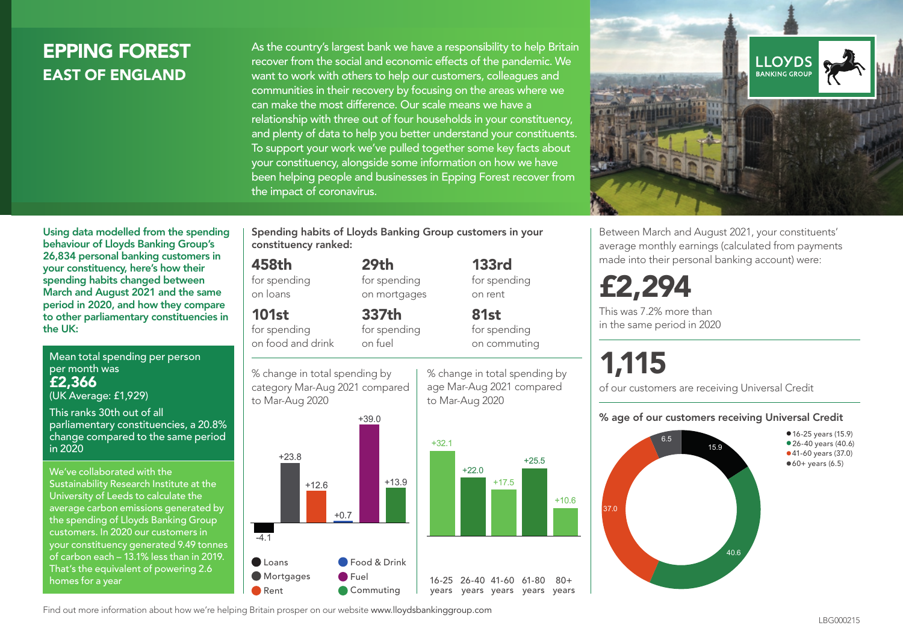# EPPING FOREST EAST OF ENGLAND

As the country's largest bank we have a responsibility to help Britain recover from the social and economic effects of the pandemic. We want to work with others to help our customers, colleagues and communities in their recovery by focusing on the areas where we can make the most difference. Our scale means we have a relationship with three out of four households in your constituency, and plenty of data to help you better understand your constituents. To support your work we've pulled together some key facts about your constituency, alongside some information on how we have been helping people and businesses in Epping Forest recover from the impact of coronavirus.



Between March and August 2021, your constituents' average monthly earnings (calculated from payments made into their personal banking account) were:

£2,294

This was 7.2% more than in the same period in 2020

# 1,115

of our customers are receiving Universal Credit

#### % age of our customers receiving Universal Credit



• 16-25 years (15.9) • 26-40 years (40.6) •41-60 years (37.0)  $•60+ years (6.5)$ 

Using data modelled from the spending behaviour of Lloyds Banking Group's 26,834 personal banking customers in your constituency, here's how their spending habits changed between March and August 2021 and the same period in 2020, and how they compare to other parliamentary constituencies in the UK:

Mean total spending per person per month was £2,366 (UK Average: £1,929)

This ranks 30th out of all parliamentary constituencies, a 20.8% change compared to the same period in 2020

We've collaborated with the Sustainability Research Institute at the University of Leeds to calculate the average carbon emissions generated by the spending of Lloyds Banking Group customers. In 2020 our customers in your constituency generated 9.49 tonnes of carbon each – 13.1% less than in 2019. That's the equivalent of powering 2.6 homes for a year

Spending habits of Lloyds Banking Group customers in your constituency ranked:

> 29th for spending on mortgages

337th

## 458th

for spending on loans

101st

for spending on food and drink for spending on fuel

% change in total spending by category Mar-Aug 2021 compared





+17.5

% change in total spending by age Mar-Aug 2021 compared

133rd for spending on rent

81st for spending on commuting

to Mar-Aug 2020

+25.5

 $+10.6$ 

 $80 +$ 

Find out more information about how we're helping Britain prosper on our website www.lloydsbankinggroup.com